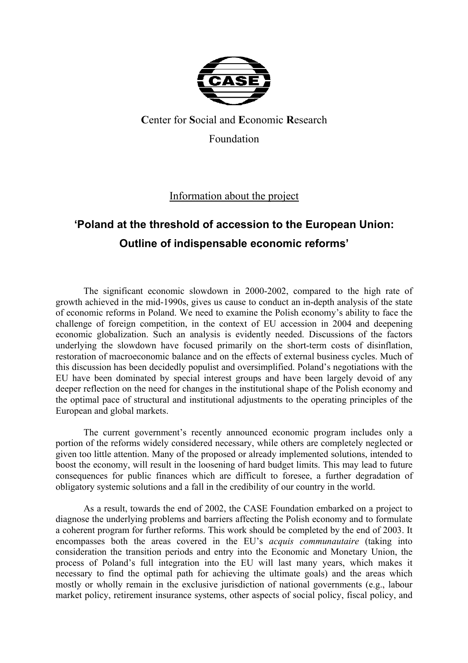

# **C**enter for **S**ocial and **E**conomic **R**esearch Foundation

Information about the project

# **'Poland at the threshold of accession to the European Union: Outline of indispensable economic reforms'**

The significant economic slowdown in 2000-2002, compared to the high rate of growth achieved in the mid-1990s, gives us cause to conduct an in-depth analysis of the state of economic reforms in Poland. We need to examine the Polish economy's ability to face the challenge of foreign competition, in the context of EU accession in 2004 and deepening economic globalization. Such an analysis is evidently needed. Discussions of the factors underlying the slowdown have focused primarily on the short-term costs of disinflation, restoration of macroeconomic balance and on the effects of external business cycles. Much of this discussion has been decidedly populist and oversimplified. Poland's negotiations with the EU have been dominated by special interest groups and have been largely devoid of any deeper reflection on the need for changes in the institutional shape of the Polish economy and the optimal pace of structural and institutional adjustments to the operating principles of the European and global markets.

The current government's recently announced economic program includes only a portion of the reforms widely considered necessary, while others are completely neglected or given too little attention. Many of the proposed or already implemented solutions, intended to boost the economy, will result in the loosening of hard budget limits. This may lead to future consequences for public finances which are difficult to foresee, a further degradation of obligatory systemic solutions and a fall in the credibility of our country in the world.

As a result, towards the end of 2002, the CASE Foundation embarked on a project to diagnose the underlying problems and barriers affecting the Polish economy and to formulate a coherent program for further reforms. This work should be completed by the end of 2003. It encompasses both the areas covered in the EU's *acquis communautaire* (taking into consideration the transition periods and entry into the Economic and Monetary Union, the process of Poland's full integration into the EU will last many years, which makes it necessary to find the optimal path for achieving the ultimate goals) and the areas which mostly or wholly remain in the exclusive jurisdiction of national governments (e.g., labour market policy, retirement insurance systems, other aspects of social policy, fiscal policy, and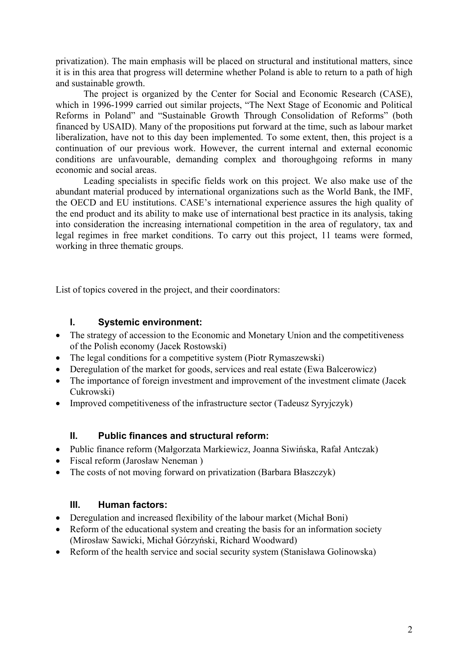privatization). The main emphasis will be placed on structural and institutional matters, since it is in this area that progress will determine whether Poland is able to return to a path of high and sustainable growth.

The project is organized by the Center for Social and Economic Research (CASE), which in 1996-1999 carried out similar projects, "The Next Stage of Economic and Political Reforms in Poland" and "Sustainable Growth Through Consolidation of Reforms" (both financed by USAID). Many of the propositions put forward at the time, such as labour market liberalization, have not to this day been implemented. To some extent, then, this project is a continuation of our previous work. However, the current internal and external economic conditions are unfavourable, demanding complex and thoroughgoing reforms in many economic and social areas.

Leading specialists in specific fields work on this project. We also make use of the abundant material produced by international organizations such as the World Bank, the IMF, the OECD and EU institutions. CASE's international experience assures the high quality of the end product and its ability to make use of international best practice in its analysis, taking into consideration the increasing international competition in the area of regulatory, tax and legal regimes in free market conditions. To carry out this project, 11 teams were formed, working in three thematic groups.

List of topics covered in the project, and their coordinators:

## **I. Systemic environment:**

- The strategy of accession to the Economic and Monetary Union and the competitiveness of the Polish economy (Jacek Rostowski)
- The legal conditions for a competitive system (Piotr Rymaszewski)
- Deregulation of the market for goods, services and real estate (Ewa Balcerowicz)
- The importance of foreign investment and improvement of the investment climate (Jacek Cukrowski)
- Improved competitiveness of the infrastructure sector (Tadeusz Syryjczyk)

# **II. Public finances and structural reform:**

- Public finance reform (Małgorzata Markiewicz, Joanna Siwińska, Rafał Antczak)
- Fiscal reform (Jarosław Neneman )
- The costs of not moving forward on privatization (Barbara Błaszczyk)

# **III. Human factors:**

- Deregulation and increased flexibility of the labour market (Michał Boni)
- Reform of the educational system and creating the basis for an information society (Mirosław Sawicki, Michał Górzyński, Richard Woodward)
- Reform of the health service and social security system (Stanisława Golinowska)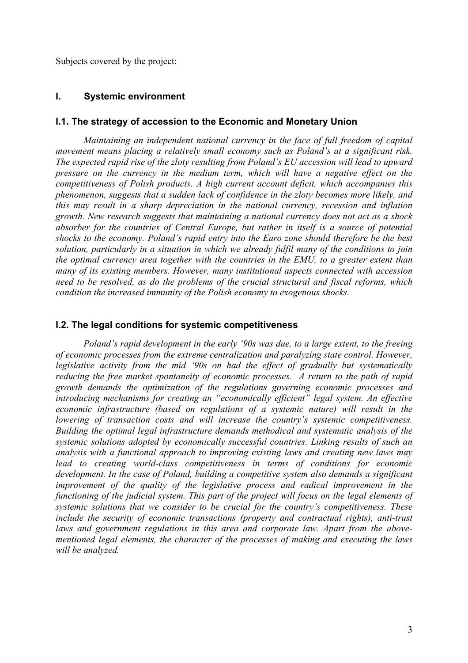Subjects covered by the project:

#### **I. Systemic environment**

#### **I.1. The strategy of accession to the Economic and Monetary Union**

*Maintaining an independent national currency in the face of full freedom of capital movement means placing a relatively small economy such as Poland's at a significant risk. The expected rapid rise of the zloty resulting from Poland's EU accession will lead to upward pressure on the currency in the medium term, which will have a negative effect on the competitiveness of Polish products. A high current account deficit, which accompanies this phenomenon, suggests that a sudden lack of confidence in the zloty becomes more likely, and this may result in a sharp depreciation in the national currency, recession and inflation growth. New research suggests that maintaining a national currency does not act as a shock absorber for the countries of Central Europe, but rather in itself is a source of potential shocks to the economy. Poland's rapid entry into the Euro zone should therefore be the best solution, particularly in a situation in which we already fulfil many of the conditions to join the optimal currency area together with the countries in the EMU, to a greater extent than many of its existing members. However, many institutional aspects connected with accession need to be resolved, as do the problems of the crucial structural and fiscal reforms, which condition the increased immunity of the Polish economy to exogenous shocks.* 

#### **I.2. The legal conditions for systemic competitiveness**

*Poland's rapid development in the early '90s was due, to a large extent, to the freeing of economic processes from the extreme centralization and paralyzing state control. However, legislative activity from the mid '90s on had the effect of gradually but systematically reducing the free market spontaneity of economic processes. A return to the path of rapid growth demands the optimization of the regulations governing economic processes and introducing mechanisms for creating an "economically efficient" legal system. An effective economic infrastructure (based on regulations of a systemic nature) will result in the lowering of transaction costs and will increase the country's systemic competitiveness. Building the optimal legal infrastructure demands methodical and systematic analysis of the systemic solutions adopted by economically successful countries. Linking results of such an analysis with a functional approach to improving existing laws and creating new laws may lead to creating world-class competitiveness in terms of conditions for economic development. In the case of Poland, building a competitive system also demands a significant improvement of the quality of the legislative process and radical improvement in the functioning of the judicial system. This part of the project will focus on the legal elements of systemic solutions that we consider to be crucial for the country's competitiveness. These include the security of economic transactions (property and contractual rights), anti-trust laws and government regulations in this area and corporate law. Apart from the abovementioned legal elements, the character of the processes of making and executing the laws will be analyzed.*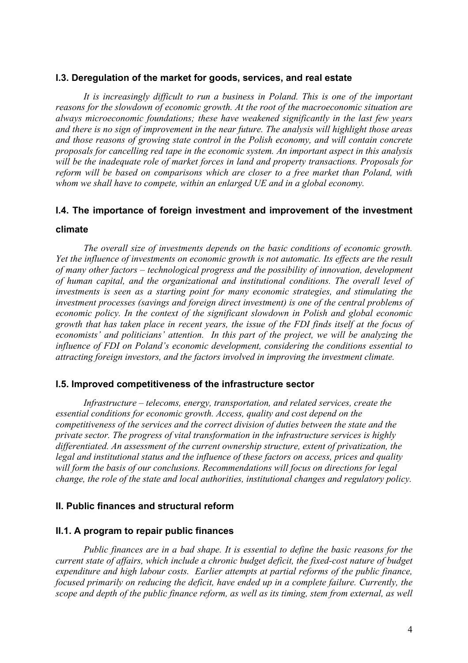#### **I.3. Deregulation of the market for goods, services, and real estate**

*It is increasingly difficult to run a business in Poland. This is one of the important reasons for the slowdown of economic growth. At the root of the macroeconomic situation are always microeconomic foundations; these have weakened significantly in the last few years and there is no sign of improvement in the near future. The analysis will highlight those areas and those reasons of growing state control in the Polish economy, and will contain concrete proposals for cancelling red tape in the economic system. An important aspect in this analysis will be the inadequate role of market forces in land and property transactions. Proposals for reform will be based on comparisons which are closer to a free market than Poland, with whom we shall have to compete, within an enlarged UE and in a global economy.* 

# **I.4. The importance of foreign investment and improvement of the investment**

#### **climate**

*The overall size of investments depends on the basic conditions of economic growth. Yet the influence of investments on economic growth is not automatic. Its effects are the result of many other factors – technological progress and the possibility of innovation, development of human capital, and the organizational and institutional conditions. The overall level of investments is seen as a starting point for many economic strategies, and stimulating the investment processes (savings and foreign direct investment) is one of the central problems of economic policy. In the context of the significant slowdown in Polish and global economic growth that has taken place in recent years, the issue of the FDI finds itself at the focus of economists' and politicians' attention. In this part of the project, we will be analyzing the influence of FDI on Poland's economic development, considering the conditions essential to attracting foreign investors, and the factors involved in improving the investment climate.* 

#### **I.5. Improved competitiveness of the infrastructure sector**

*Infrastructure – telecoms, energy, transportation, and related services, create the essential conditions for economic growth. Access, quality and cost depend on the competitiveness of the services and the correct division of duties between the state and the private sector. The progress of vital transformation in the infrastructure services is highly differentiated. An assessment of the current ownership structure, extent of privatization, the legal and institutional status and the influence of these factors on access, prices and quality will form the basis of our conclusions. Recommendations will focus on directions for legal change, the role of the state and local authorities, institutional changes and regulatory policy.*

#### **II. Public finances and structural reform**

#### **II.1. A program to repair public finances**

*Public finances are in a bad shape. It is essential to define the basic reasons for the current state of affairs, which include a chronic budget deficit, the fixed-cost nature of budget expenditure and high labour costs. Earlier attempts at partial reforms of the public finance, focused primarily on reducing the deficit, have ended up in a complete failure. Currently, the scope and depth of the public finance reform, as well as its timing, stem from external, as well*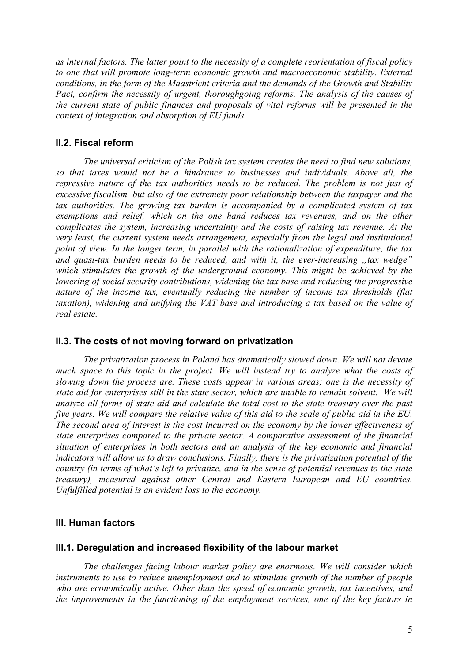*as internal factors. The latter point to the necessity of a complete reorientation of fiscal policy to one that will promote long-term economic growth and macroeconomic stability. External conditions, in the form of the Maastricht criteria and the demands of the Growth and Stability*  Pact, confirm the necessity of urgent, thoroughgoing reforms. The analysis of the causes of *the current state of public finances and proposals of vital reforms will be presented in the context of integration and absorption of EU funds.* 

# **II.2. Fiscal reform**

*The universal criticism of the Polish tax system creates the need to find new solutions, so that taxes would not be a hindrance to businesses and individuals. Above all, the repressive nature of the tax authorities needs to be reduced. The problem is not just of excessive fiscalism, but also of the extremely poor relationship between the taxpayer and the tax authorities. The growing tax burden is accompanied by a complicated system of tax exemptions and relief, which on the one hand reduces tax revenues, and on the other complicates the system, increasing uncertainty and the costs of raising tax revenue. At the very least, the current system needs arrangement, especially from the legal and institutional point of view. In the longer term, in parallel with the rationalization of expenditure, the tax and quasi-tax burden needs to be reduced, and with it, the ever-increasing , tax wedge" which stimulates the growth of the underground economy. This might be achieved by the lowering of social security contributions, widening the tax base and reducing the progressive nature of the income tax, eventually reducing the number of income tax thresholds (flat taxation), widening and unifying the VAT base and introducing a tax based on the value of real estate.* 

## **II.3. The costs of not moving forward on privatization**

*The privatization process in Poland has dramatically slowed down. We will not devote much space to this topic in the project. We will instead try to analyze what the costs of slowing down the process are. These costs appear in various areas; one is the necessity of state aid for enterprises still in the state sector, which are unable to remain solvent. We will analyze all forms of state aid and calculate the total cost to the state treasury over the past five years. We will compare the relative value of this aid to the scale of public aid in the EU. The second area of interest is the cost incurred on the economy by the lower effectiveness of state enterprises compared to the private sector. A comparative assessment of the financial situation of enterprises in both sectors and an analysis of the key economic and financial indicators will allow us to draw conclusions. Finally, there is the privatization potential of the country (in terms of what's left to privatize, and in the sense of potential revenues to the state treasury), measured against other Central and Eastern European and EU countries. Unfulfilled potential is an evident loss to the economy.* 

# **III. Human factors**

## **III.1. Deregulation and increased flexibility of the labour market**

*The challenges facing labour market policy are enormous. We will consider which instruments to use to reduce unemployment and to stimulate growth of the number of people who are economically active. Other than the speed of economic growth, tax incentives, and the improvements in the functioning of the employment services, one of the key factors in*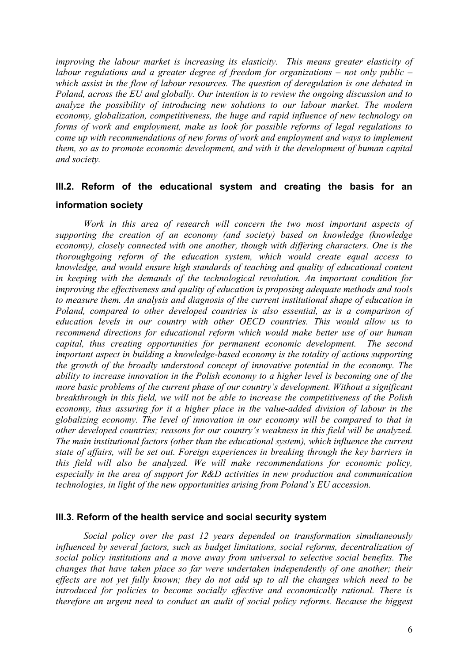*improving the labour market is increasing its elasticity. This means greater elasticity of labour regulations and a greater degree of freedom for organizations – not only public – which assist in the flow of labour resources. The question of deregulation is one debated in Poland, across the EU and globally. Our intention is to review the ongoing discussion and to analyze the possibility of introducing new solutions to our labour market. The modern economy, globalization, competitiveness, the huge and rapid influence of new technology on forms of work and employment, make us look for possible reforms of legal regulations to come up with recommendations of new forms of work and employment and ways to implement them, so as to promote economic development, and with it the development of human capital and society.* 

# **III.2. Reform of the educational system and creating the basis for an information society**

Work in this area of research will concern the two most important aspects of *supporting the creation of an economy (and society) based on knowledge (knowledge economy), closely connected with one another, though with differing characters. One is the thoroughgoing reform of the education system, which would create equal access to knowledge, and would ensure high standards of teaching and quality of educational content in keeping with the demands of the technological revolution. An important condition for improving the effectiveness and quality of education is proposing adequate methods and tools to measure them. An analysis and diagnosis of the current institutional shape of education in Poland, compared to other developed countries is also essential, as is a comparison of education levels in our country with other OECD countries. This would allow us to recommend directions for educational reform which would make better use of our human capital, thus creating opportunities for permanent economic development. The second important aspect in building a knowledge-based economy is the totality of actions supporting the growth of the broadly understood concept of innovative potential in the economy. The ability to increase innovation in the Polish economy to a higher level is becoming one of the more basic problems of the current phase of our country's development. Without a significant breakthrough in this field, we will not be able to increase the competitiveness of the Polish economy, thus assuring for it a higher place in the value-added division of labour in the globalizing economy. The level of innovation in our economy will be compared to that in other developed countries; reasons for our country's weakness in this field will be analyzed. The main institutional factors (other than the educational system), which influence the current state of affairs, will be set out. Foreign experiences in breaking through the key barriers in this field will also be analyzed. We will make recommendations for economic policy, especially in the area of support for R&D activities in new production and communication technologies, in light of the new opportunities arising from Poland's EU accession.* 

#### **III.3. Reform of the health service and social security system**

*Social policy over the past 12 years depended on transformation simultaneously influenced by several factors, such as budget limitations, social reforms, decentralization of social policy institutions and a move away from universal to selective social benefits. The changes that have taken place so far were undertaken independently of one another; their effects are not yet fully known; they do not add up to all the changes which need to be introduced for policies to become socially effective and economically rational. There is therefore an urgent need to conduct an audit of social policy reforms. Because the biggest*